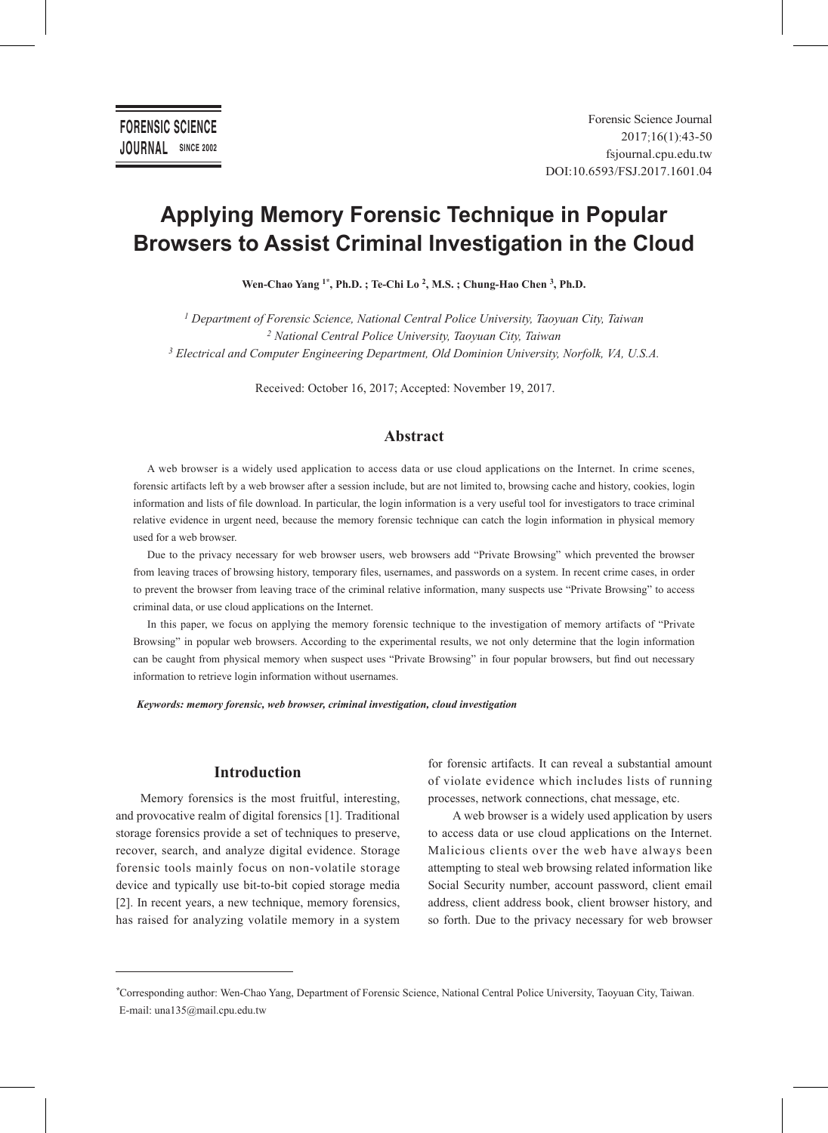# **Applying Memory Forensic Technique in Popular Browsers to Assist Criminal Investigation in the Cloud**

**Wen-Chao Yang 1\*, Ph.D. ; Te-Chi Lo 2, M.S. ; Chung-Hao Chen 3, Ph.D.**

*1 Department of Forensic Science, National Central Police University, Taoyuan City, Taiwan 2 National Central Police University, Taoyuan City, Taiwan 3 Electrical and Computer Engineering Department, Old Dominion University, Norfolk, VA, U.S.A.*

Received: October 16, 2017; Accepted: November 19, 2017.

## **Abstract**

A web browser is a widely used application to access data or use cloud applications on the Internet. In crime scenes, forensic artifacts left by a web browser after a session include, but are not limited to, browsing cache and history, cookies, login information and lists of file download. In particular, the login information is a very useful tool for investigators to trace criminal relative evidence in urgent need, because the memory forensic technique can catch the login information in physical memory used for a web browser.

Due to the privacy necessary for web browser users, web browsers add "Private Browsing" which prevented the browser from leaving traces of browsing history, temporary files, usernames, and passwords on a system. In recent crime cases, in order to prevent the browser from leaving trace of the criminal relative information, many suspects use "Private Browsing" to access criminal data, or use cloud applications on the Internet.

In this paper, we focus on applying the memory forensic technique to the investigation of memory artifacts of "Private Browsing" in popular web browsers. According to the experimental results, we not only determine that the login information can be caught from physical memory when suspect uses "Private Browsing" in four popular browsers, but find out necessary information to retrieve login information without usernames.

*Keywords: memory forensic, web browser, criminal investigation, cloud investigation*

## **Introduction**

Memory forensics is the most fruitful, interesting, and provocative realm of digital forensics [1]. Traditional storage forensics provide a set of techniques to preserve, recover, search, and analyze digital evidence. Storage forensic tools mainly focus on non-volatile storage device and typically use bit-to-bit copied storage media [2]. In recent years, a new technique, memory forensics, has raised for analyzing volatile memory in a system for forensic artifacts. It can reveal a substantial amount of violate evidence which includes lists of running processes, network connections, chat message, etc.

A web browser is a widely used application by users to access data or use cloud applications on the Internet. Malicious clients over the web have always been attempting to steal web browsing related information like Social Security number, account password, client email address, client address book, client browser history, and so forth. Due to the privacy necessary for web browser

*<sup>\*</sup>*Corresponding author: Wen-Chao Yang, Department of Forensic Science, National Central Police University, Taoyuan City, Taiwan. E-mail: una135@mail.cpu.edu.tw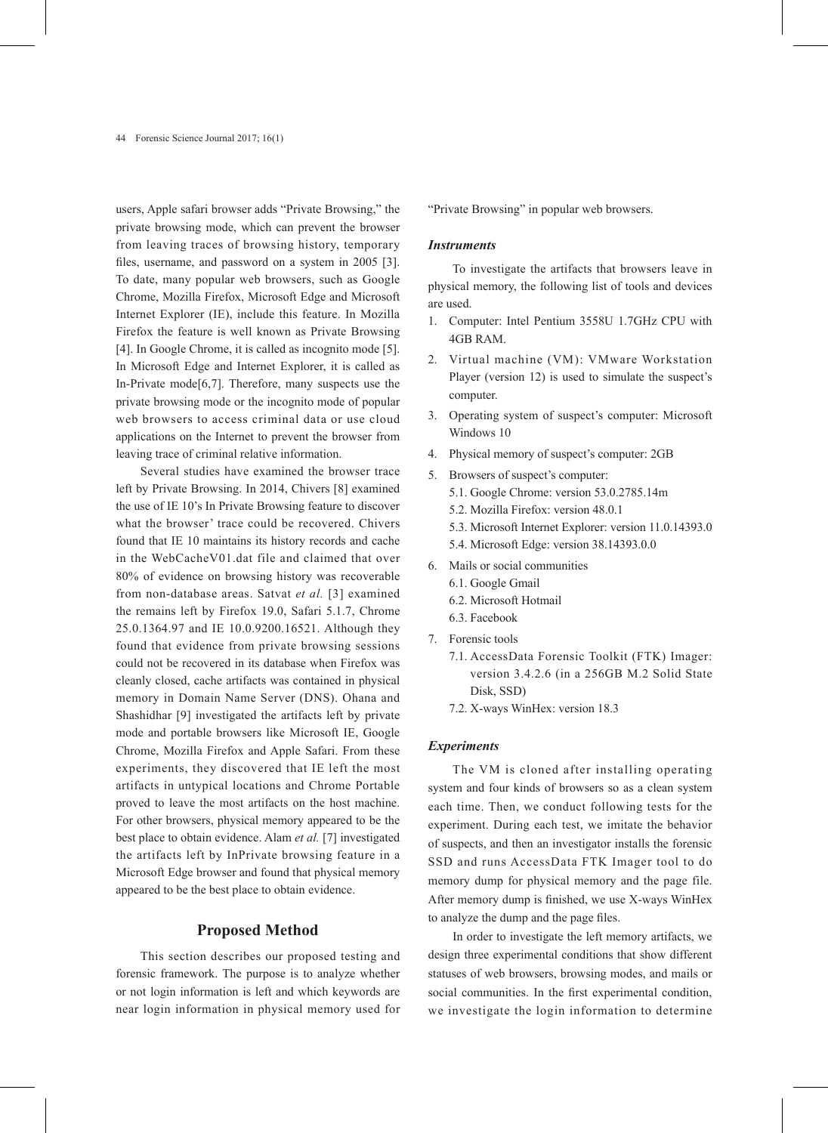users, Apple safari browser adds "Private Browsing," the private browsing mode, which can prevent the browser from leaving traces of browsing history, temporary files, username, and password on a system in 2005 [3]. To date, many popular web browsers, such as Google Chrome, Mozilla Firefox, Microsoft Edge and Microsoft Internet Explorer (IE), include this feature. In Mozilla Firefox the feature is well known as Private Browsing [4]. In Google Chrome, it is called as incognito mode [5]. In Microsoft Edge and Internet Explorer, it is called as In-Private mode[6,7]. Therefore, many suspects use the private browsing mode or the incognito mode of popular web browsers to access criminal data or use cloud applications on the Internet to prevent the browser from leaving trace of criminal relative information.

Several studies have examined the browser trace left by Private Browsing. In 2014, Chivers [8] examined the use of IE 10's In Private Browsing feature to discover what the browser' trace could be recovered. Chivers found that IE 10 maintains its history records and cache in the WebCacheV01.dat file and claimed that over 80% of evidence on browsing history was recoverable from non-database areas. Satvat *et al.* [3] examined the remains left by Firefox 19.0, Safari 5.1.7, Chrome 25.0.1364.97 and IE 10.0.9200.16521. Although they found that evidence from private browsing sessions could not be recovered in its database when Firefox was cleanly closed, cache artifacts was contained in physical memory in Domain Name Server (DNS). Ohana and Shashidhar [9] investigated the artifacts left by private mode and portable browsers like Microsoft IE, Google Chrome, Mozilla Firefox and Apple Safari. From these experiments, they discovered that IE left the most artifacts in untypical locations and Chrome Portable proved to leave the most artifacts on the host machine. For other browsers, physical memory appeared to be the best place to obtain evidence. Alam *et al.* [7] investigated the artifacts left by InPrivate browsing feature in a Microsoft Edge browser and found that physical memory appeared to be the best place to obtain evidence.

#### **Proposed Method**

This section describes our proposed testing and forensic framework. The purpose is to analyze whether or not login information is left and which keywords are near login information in physical memory used for "Private Browsing" in popular web browsers.

#### *Instruments*

To investigate the artifacts that browsers leave in physical memory, the following list of tools and devices are used.

- 1. Computer: Intel Pentium 3558U 1.7GHz CPU with 4GB RAM.
- 2. Virtual machine (VM): VMware Workstation Player (version 12) is used to simulate the suspect's computer.
- 3. Operating system of suspect's computer: Microsoft Windows 10
- 4. Physical memory of suspect's computer: 2GB
- 5. Browsers of suspect's computer:
	- 5.1. Google Chrome: version 53.0.2785.14m
	- 5.2. Mozilla Firefox: version 48.0.1
	- 5.3. Microsoft Internet Explorer: version 11.0.14393.0
	- 5.4. Microsoft Edge: version 38.14393.0.0
- 6. Mails or social communities
	- 6.1. Google Gmail
	- 6.2. Microsoft Hotmail
	- 6.3. Facebook
- 7. Forensic tools
	- 7.1. AccessData Forensic Toolkit (FTK) Imager: version 3.4.2.6 (in a 256GB M.2 Solid State Disk, SSD)
	- 7.2. X-ways WinHex: version 18.3

#### *Experiments*

The VM is cloned after installing operating system and four kinds of browsers so as a clean system each time. Then, we conduct following tests for the experiment. During each test, we imitate the behavior of suspects, and then an investigator installs the forensic SSD and runs AccessData FTK Imager tool to do memory dump for physical memory and the page file. After memory dump is finished, we use X-ways WinHex to analyze the dump and the page files.

In order to investigate the left memory artifacts, we design three experimental conditions that show different statuses of web browsers, browsing modes, and mails or social communities. In the first experimental condition, we investigate the login information to determine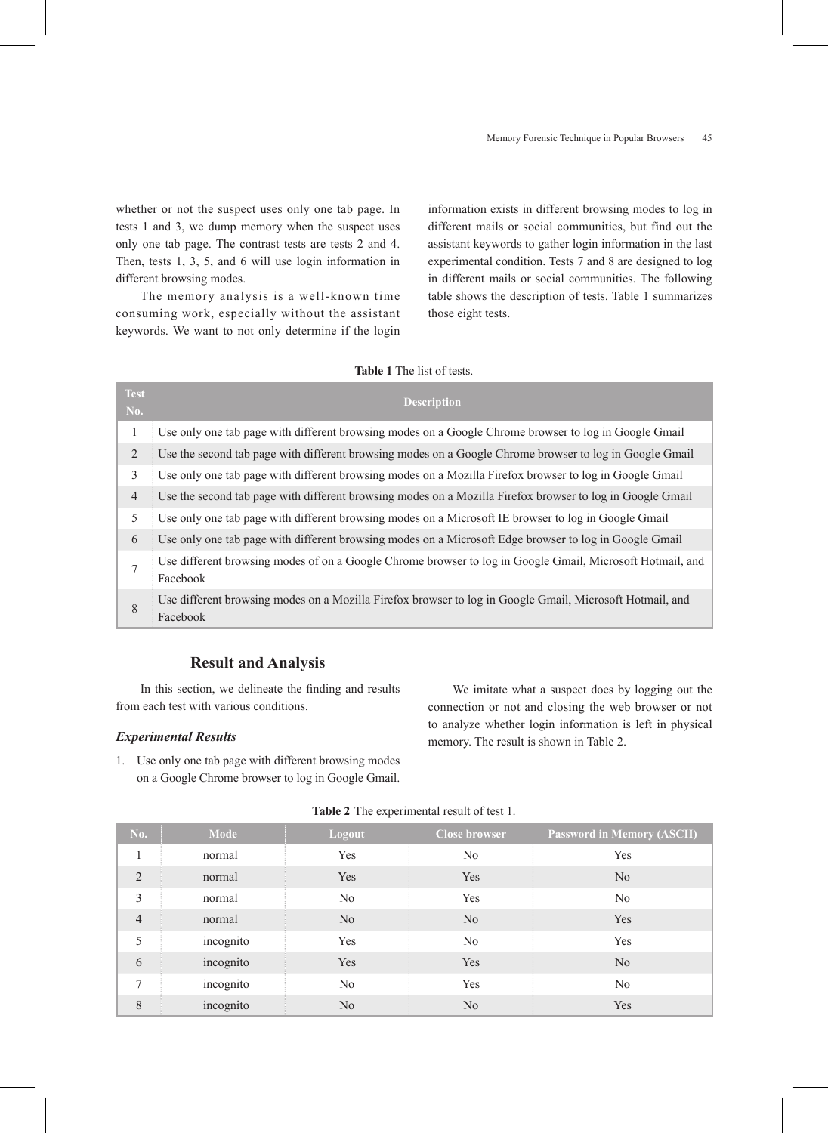whether or not the suspect uses only one tab page. In tests 1 and 3, we dump memory when the suspect uses only one tab page. The contrast tests are tests 2 and 4. Then, tests 1, 3, 5, and 6 will use login information in different browsing modes.

The memory analysis is a well-known time consuming work, especially without the assistant keywords. We want to not only determine if the login

information exists in different browsing modes to log in different mails or social communities, but find out the assistant keywords to gather login information in the last experimental condition. Tests 7 and 8 are designed to log in different mails or social communities. The following table shows the description of tests. Table 1 summarizes those eight tests.

## **Table 1** The list of tests.

| <b>Test</b><br>No. | <b>Description</b>                                                                                                    |
|--------------------|-----------------------------------------------------------------------------------------------------------------------|
| 1                  | Use only one tab page with different browsing modes on a Google Chrome browser to log in Google Gmail                 |
| 2                  | Use the second tab page with different browsing modes on a Google Chrome browser to log in Google Gmail               |
| 3                  | Use only one tab page with different browsing modes on a Mozilla Firefox browser to log in Google Gmail               |
| $\overline{4}$     | Use the second tab page with different browsing modes on a Mozilla Firefox browser to log in Google Gmail             |
| 5                  | Use only one tab page with different browsing modes on a Microsoft IE browser to log in Google Gmail                  |
| 6                  | Use only one tab page with different browsing modes on a Microsoft Edge browser to log in Google Gmail                |
| 7                  | Use different browsing modes of on a Google Chrome browser to log in Google Gmail, Microsoft Hotmail, and<br>Facebook |
| 8                  | Use different browsing modes on a Mozilla Firefox browser to log in Google Gmail, Microsoft Hotmail, and<br>Facebook  |

## **Result and Analysis**

In this section, we delineate the finding and results from each test with various conditions.

## *Experimental Results*

1. Use only one tab page with different browsing modes on a Google Chrome browser to log in Google Gmail.

We imitate what a suspect does by logging out the connection or not and closing the web browser or not to analyze whether login information is left in physical memory. The result is shown in Table 2.

|                | <b>Rable 2</b> The experimental result of test 1. |                |                      |                                   |  |  |  |
|----------------|---------------------------------------------------|----------------|----------------------|-----------------------------------|--|--|--|
| No.            | <b>Mode</b>                                       | Logout         | <b>Close browser</b> | <b>Password in Memory (ASCII)</b> |  |  |  |
|                | normal                                            | Yes            | N <sub>0</sub>       | Yes                               |  |  |  |
| $\overline{2}$ | normal                                            | Yes            | Yes                  | N <sub>0</sub>                    |  |  |  |
| 3              | normal                                            | N <sub>0</sub> | Yes                  | No.                               |  |  |  |
| $\overline{4}$ | normal                                            | N <sub>0</sub> | N <sub>0</sub>       | Yes                               |  |  |  |
| 5              | incognito                                         | Yes            | N <sub>0</sub>       | Yes                               |  |  |  |
| 6              | incognito                                         | Yes            | Yes                  | N <sub>0</sub>                    |  |  |  |
| 7              | incognito                                         | N <sub>0</sub> | Yes                  | No.                               |  |  |  |
| 8              | incognito                                         | N <sub>o</sub> | N <sub>o</sub>       | Yes                               |  |  |  |

## Table 2. The experimental result of test 1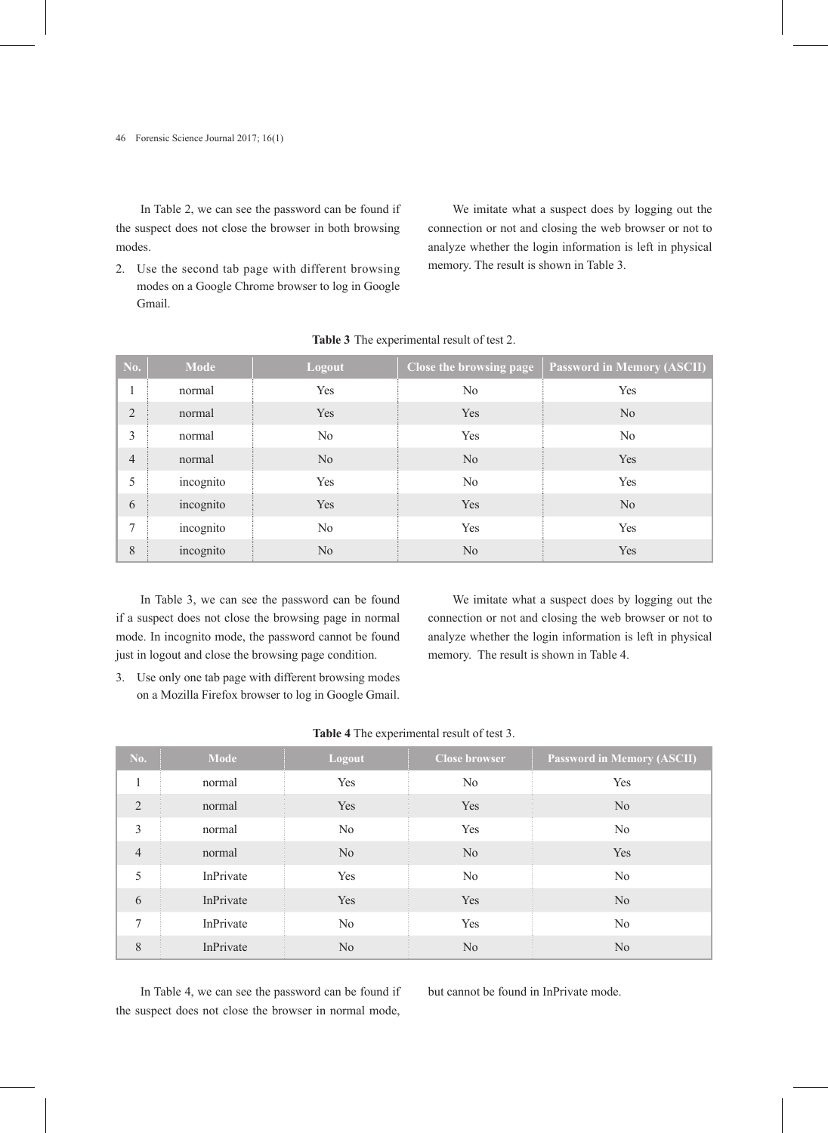In Table 2, we can see the password can be found if the suspect does not close the browser in both browsing modes.

2. Use the second tab page with different browsing modes on a Google Chrome browser to log in Google Gmail.

We imitate what a suspect does by logging out the connection or not and closing the web browser or not to analyze whether the login information is left in physical memory. The result is shown in Table 3.

| <b>No.</b>     | <b>Mode</b> | Logout         | <b>Close the browsing page</b> | <b>Password in Memory (ASCII)</b> |
|----------------|-------------|----------------|--------------------------------|-----------------------------------|
| $\mathbf{1}$   | normal      | Yes            | No                             | Yes                               |
| $\overline{2}$ | normal      | Yes            | Yes                            | N <sub>o</sub>                    |
| 3              | normal      | N <sub>0</sub> | Yes                            | No                                |
| $\overline{4}$ | normal      | N <sub>0</sub> | N <sub>0</sub>                 | Yes                               |
| 5              | incognito   | Yes            | No                             | Yes                               |
| 6              | incognito   | Yes            | Yes                            | N <sub>0</sub>                    |
| 7              | incognito   | $\rm No$       | Yes                            | Yes                               |
| 8              | incognito   | No             | N <sub>o</sub>                 | Yes                               |

**Table 3** The experimental result of test 2.

In Table 3, we can see the password can be found if a suspect does not close the browsing page in normal mode. In incognito mode, the password cannot be found just in logout and close the browsing page condition.

3. Use only one tab page with different browsing modes on a Mozilla Firefox browser to log in Google Gmail.

We imitate what a suspect does by logging out the connection or not and closing the web browser or not to analyze whether the login information is left in physical memory. The result is shown in Table 4.

| <b>No.</b>     | <b>Mode</b> | Logout         | <b>Close browser</b> | <b>Password in Memory (ASCII)</b> |
|----------------|-------------|----------------|----------------------|-----------------------------------|
| $\mathbf{1}$   | normal      | Yes            | N <sub>0</sub>       | Yes                               |
| 2              | normal      | Yes            | Yes                  | N <sub>o</sub>                    |
| $\overline{3}$ | normal      | N <sub>0</sub> | Yes                  | No                                |
| $\overline{4}$ | normal      | N <sub>o</sub> | N <sub>0</sub>       | Yes                               |
| 5              | InPrivate   | Yes            | N <sub>0</sub>       | No                                |
| 6              | InPrivate   | Yes            | Yes                  | N <sub>o</sub>                    |
| 7              | InPrivate   | No             | Yes                  | No                                |
| 8              | InPrivate   | N <sub>o</sub> | N <sub>0</sub>       | N <sub>0</sub>                    |

In Table 4, we can see the password can be found if the suspect does not close the browser in normal mode,

but cannot be found in InPrivate mode.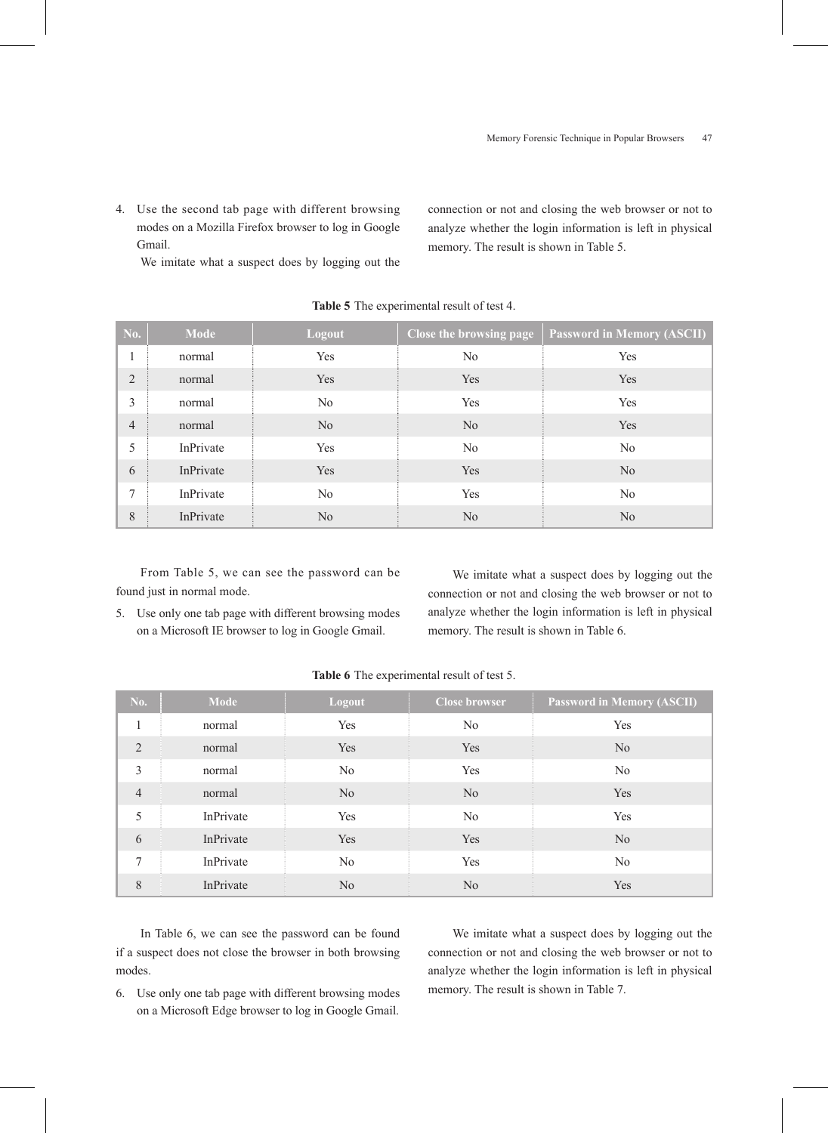4. Use the second tab page with different browsing modes on a Mozilla Firefox browser to log in Google Gmail.

We imitate what a suspect does by logging out the

connection or not and closing the web browser or not to analyze whether the login information is left in physical memory. The result is shown in Table 5.

| No.            | <b>Mode</b> | Logout         | Close the browsing page | <b>Password in Memory (ASCII)</b> |
|----------------|-------------|----------------|-------------------------|-----------------------------------|
|                | normal      | Yes            | No                      | Yes                               |
| 2              | normal      | Yes            | Yes                     | Yes                               |
| 3              | normal      | N <sub>0</sub> | Yes                     | Yes                               |
| $\overline{4}$ | normal      | N <sub>0</sub> | N <sub>0</sub>          | Yes                               |
| 5              | InPrivate   | Yes            | N <sub>0</sub>          | $\rm No$                          |
| 6              | InPrivate   | Yes            | Yes                     | N <sub>0</sub>                    |
| 7              | InPrivate   | N <sub>0</sub> | Yes                     | N <sub>0</sub>                    |
| 8              | InPrivate   | N <sub>0</sub> | N <sub>o</sub>          | N <sub>0</sub>                    |

**Table 5** The experimental result of test 4.

From Table 5, we can see the password can be found just in normal mode.

5. Use only one tab page with different browsing modes on a Microsoft IE browser to log in Google Gmail.

We imitate what a suspect does by logging out the connection or not and closing the web browser or not to analyze whether the login information is left in physical memory. The result is shown in Table 6.

| <b>No.</b>     | <b>Mode</b> | Logout         | <b>Close browser</b> | <b>Password in Memory (ASCII)</b> |
|----------------|-------------|----------------|----------------------|-----------------------------------|
| 1              | normal      | Yes            | N <sub>0</sub>       | Yes                               |
| 2              | normal      | Yes            | Yes                  | N <sub>0</sub>                    |
| $\overline{3}$ | normal      | No             | Yes                  | N <sub>0</sub>                    |
| $\overline{4}$ | normal      | N <sub>0</sub> | N <sub>0</sub>       | Yes                               |
| 5              | InPrivate   | Yes            | No                   | Yes                               |
| 6              | InPrivate   | Yes            | Yes                  | N <sub>0</sub>                    |
| 7              | InPrivate   | No             | Yes                  | N <sub>0</sub>                    |
| 8              | InPrivate   | N <sub>0</sub> | N <sub>0</sub>       | Yes                               |

**Table 6** The experimental result of test 5.

In Table 6, we can see the password can be found if a suspect does not close the browser in both browsing modes.

6. Use only one tab page with different browsing modes on a Microsoft Edge browser to log in Google Gmail.

We imitate what a suspect does by logging out the connection or not and closing the web browser or not to analyze whether the login information is left in physical memory. The result is shown in Table 7.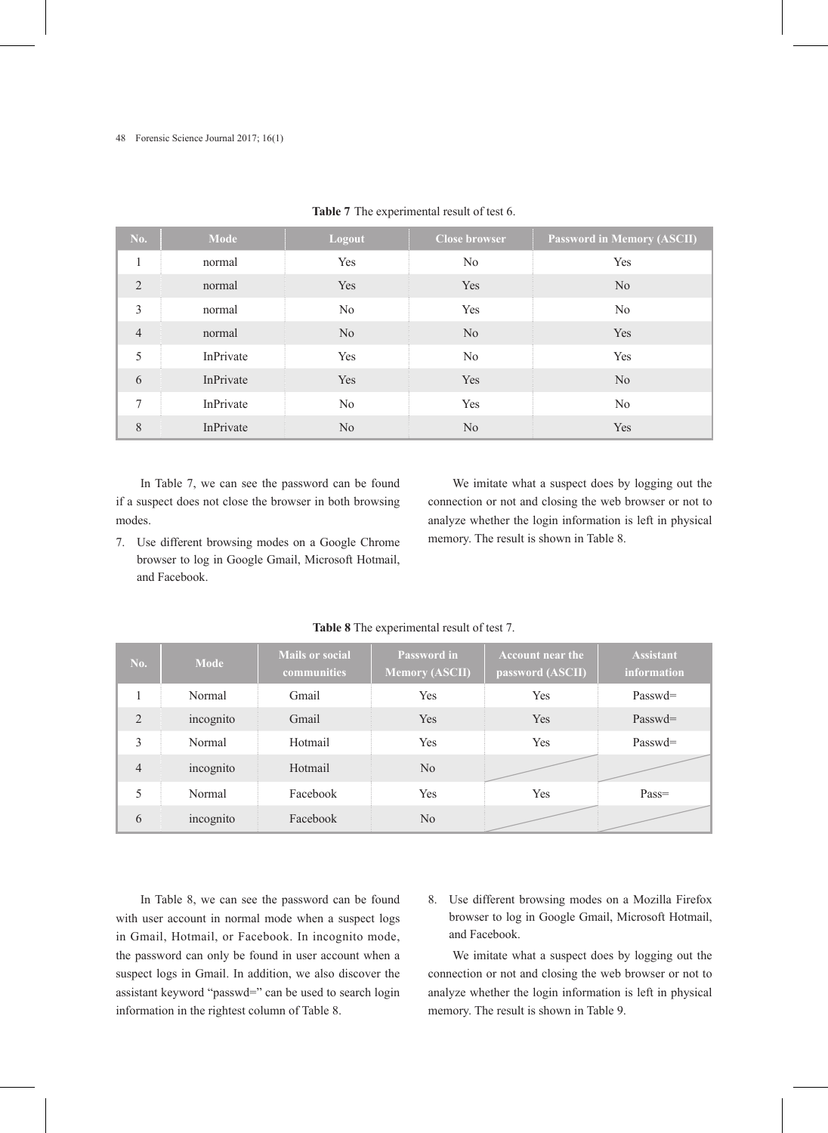| <b>No.</b>     | <b>Mode</b> | Logout         | <b>Close browser</b> | <b>Password in Memory (ASCII)</b> |
|----------------|-------------|----------------|----------------------|-----------------------------------|
| 1              | normal      | Yes            | No                   | Yes                               |
| 2              | normal      | Yes            | Yes                  | N <sub>0</sub>                    |
| $\overline{3}$ | normal      | No             | Yes                  | N <sub>0</sub>                    |
| $\overline{4}$ | normal      | No             | No                   | Yes                               |
| 5              | InPrivate   | Yes            | N <sub>0</sub>       | Yes                               |
| 6              | InPrivate   | Yes            | Yes                  | N <sub>o</sub>                    |
| $\tau$         | InPrivate   | No             | Yes                  | N <sub>0</sub>                    |
| 8              | InPrivate   | N <sub>0</sub> | N <sub>0</sub>       | Yes                               |

#### **Table 7** The experimental result of test 6.

In Table 7, we can see the password can be found if a suspect does not close the browser in both browsing modes.

7. Use different browsing modes on a Google Chrome browser to log in Google Gmail, Microsoft Hotmail, and Facebook.

We imitate what a suspect does by logging out the connection or not and closing the web browser or not to analyze whether the login information is left in physical memory. The result is shown in Table 8.

| <b>No.</b>     | <b>Mode</b> | <b>Mails or social</b><br>communities | <b>Password in</b><br><b>Memory (ASCII)</b> | <b>Account near the</b><br>password (ASCII) | <b>Assistant</b><br>information |
|----------------|-------------|---------------------------------------|---------------------------------------------|---------------------------------------------|---------------------------------|
|                | Normal      | Gmail                                 | Yes                                         | Yes                                         | $Passwd=$                       |
| 2              | incognito   | Gmail                                 | Yes                                         | Yes                                         | $Passwd=$                       |
| 3              | Normal      | Hotmail                               | Yes                                         | Yes                                         | Passwd=                         |
| $\overline{4}$ | incognito   | Hotmail                               | N <sub>o</sub>                              |                                             |                                 |
| 5              | Normal      | Facebook                              | Yes                                         | <b>Yes</b>                                  | $Pass =$                        |
| 6              | incognito   | Facebook                              | N <sub>o</sub>                              |                                             |                                 |

#### **Table 8** The experimental result of test 7.

In Table 8, we can see the password can be found with user account in normal mode when a suspect logs in Gmail, Hotmail, or Facebook. In incognito mode, the password can only be found in user account when a suspect logs in Gmail. In addition, we also discover the assistant keyword "passwd=" can be used to search login information in the rightest column of Table 8.

8. Use different browsing modes on a Mozilla Firefox browser to log in Google Gmail, Microsoft Hotmail, and Facebook.

We imitate what a suspect does by logging out the connection or not and closing the web browser or not to analyze whether the login information is left in physical memory. The result is shown in Table 9.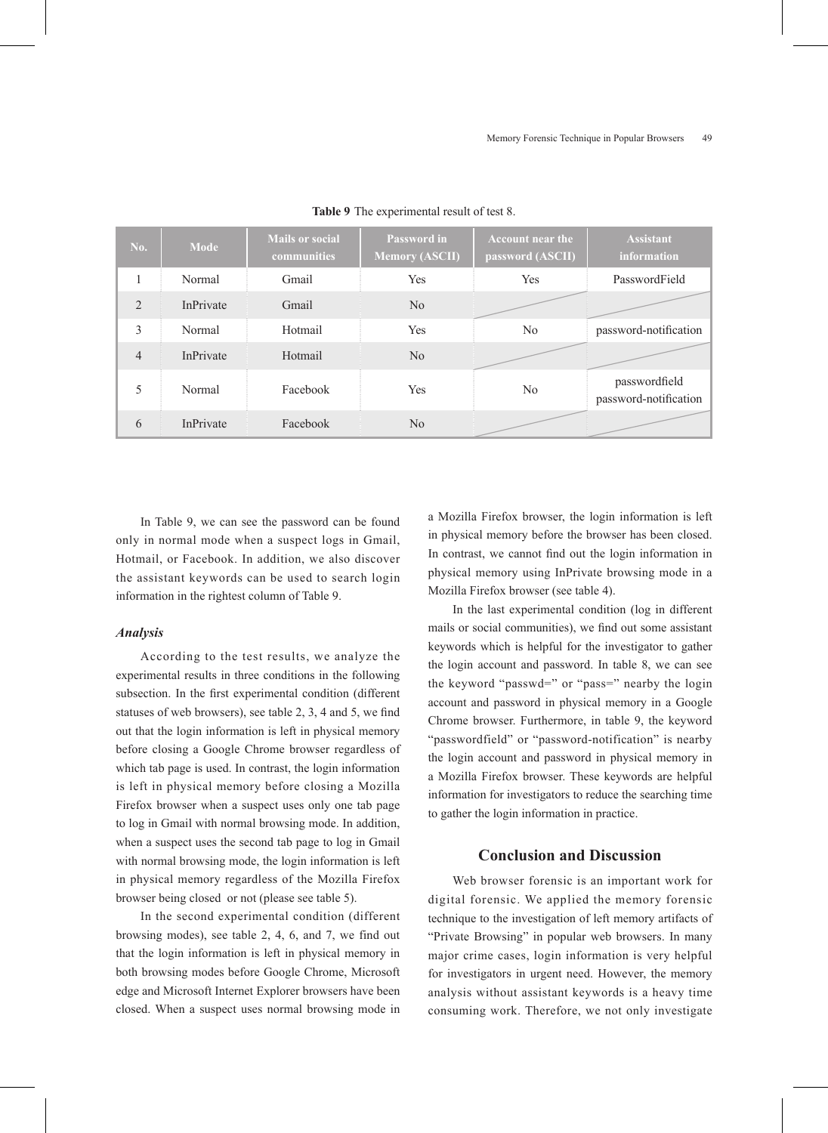| No.            | Mode      | <b>Mails or social</b><br><b>communities</b> | <b>Password in</b><br><b>Memory (ASCII)</b> | <b>Account near the</b><br>password (ASCII) | <b>Assistant</b><br>information        |
|----------------|-----------|----------------------------------------------|---------------------------------------------|---------------------------------------------|----------------------------------------|
|                | Normal    | Gmail                                        | Yes                                         | Yes                                         | PasswordField                          |
| 2              | InPrivate | Gmail                                        | No                                          |                                             |                                        |
| 3              | Normal    | Hotmail                                      | Yes                                         | No                                          | password-notification                  |
| $\overline{4}$ | InPrivate | Hotmail                                      | No                                          |                                             |                                        |
| 5              | Normal    | Facebook                                     | Yes                                         | No                                          | passwordfield<br>password-notification |
| 6              | InPrivate | Facebook                                     | $\rm No$                                    |                                             |                                        |

**Table 9** The experimental result of test 8.

In Table 9, we can see the password can be found only in normal mode when a suspect logs in Gmail, Hotmail, or Facebook. In addition, we also discover the assistant keywords can be used to search login information in the rightest column of Table 9.

#### *Analysis*

According to the test results, we analyze the experimental results in three conditions in the following subsection. In the first experimental condition (different statuses of web browsers), see table 2, 3, 4 and 5, we find out that the login information is left in physical memory before closing a Google Chrome browser regardless of which tab page is used. In contrast, the login information is left in physical memory before closing a Mozilla Firefox browser when a suspect uses only one tab page to log in Gmail with normal browsing mode. In addition, when a suspect uses the second tab page to log in Gmail with normal browsing mode, the login information is left in physical memory regardless of the Mozilla Firefox browser being closed or not (please see table 5).

In the second experimental condition (different browsing modes), see table 2, 4, 6, and 7, we find out that the login information is left in physical memory in both browsing modes before Google Chrome, Microsoft edge and Microsoft Internet Explorer browsers have been closed. When a suspect uses normal browsing mode in a Mozilla Firefox browser, the login information is left in physical memory before the browser has been closed. In contrast, we cannot find out the login information in physical memory using InPrivate browsing mode in a Mozilla Firefox browser (see table 4).

In the last experimental condition (log in different mails or social communities), we find out some assistant keywords which is helpful for the investigator to gather the login account and password. In table 8, we can see the keyword "passwd=" or "pass=" nearby the login account and password in physical memory in a Google Chrome browser. Furthermore, in table 9, the keyword "passwordfield" or "password-notification" is nearby the login account and password in physical memory in a Mozilla Firefox browser. These keywords are helpful information for investigators to reduce the searching time to gather the login information in practice.

## **Conclusion and Discussion**

Web browser forensic is an important work for digital forensic. We applied the memory forensic technique to the investigation of left memory artifacts of "Private Browsing" in popular web browsers. In many major crime cases, login information is very helpful for investigators in urgent need. However, the memory analysis without assistant keywords is a heavy time consuming work. Therefore, we not only investigate